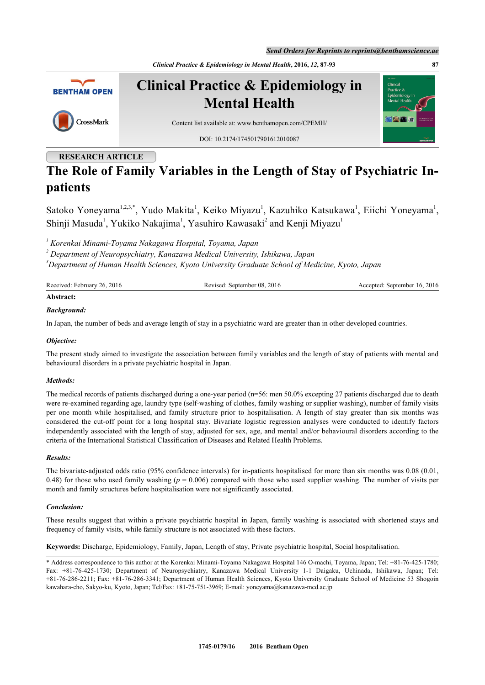*Send Orders for Reprints to reprints@benthamscience.ae*





**Clinical Practice & Epidemiology in Mental Health**



Content list available at: [www.benthamopen.com/CPEMH/](http://www.benthamopen.com/CPEMH/)

DOI: [10.2174/1745017901612010087](http://dx.doi.org/10.2174/1745017901612010087)

# **RESEARCH ARTICLE**

# **The Role of Family Variables in the Length of Stay of Psychiatric Inpatients**

Satoko Yoneyama<sup>[1](#page-0-0)[,2,](#page-0-1)[3,](#page-0-2)[\\*](#page-0-3)</sup>, Yudo Makita<sup>1</sup>, Keiko Miyazu<sup>1</sup>, Kazuhiko Katsukawa<sup>1</sup>, Eiichi Yoneyama<sup>1</sup>, Shinji Masuda<sup>[1](#page-0-0)</sup>, Yukiko Nakajima<sup>1</sup>, Yasuhiro Kawasaki<sup>[2](#page-0-1)</sup> and Kenji Miyazu<sup>1</sup>

<span id="page-0-0"></span>*1 Korenkai Minami-Toyama Nakagawa Hospital, Toyama, Japan*

<span id="page-0-1"></span>*2 Department of Neuropsychiatry, Kanazawa Medical University, Ishikawa, Japan*

<span id="page-0-2"></span>*<sup>3</sup>Department of Human Health Sciences, Kyoto University Graduate School of Medicine, Kyoto, Japan*

| Received: February 26, 2016 | Revised: September 08, 2016 | Accepted: September 16, 2016 |
|-----------------------------|-----------------------------|------------------------------|
| Abstract:                   |                             |                              |

# *Background:*

In Japan, the number of beds and average length of stay in a psychiatric ward are greater than in other developed countries.

# *Objective:*

The present study aimed to investigate the association between family variables and the length of stay of patients with mental and behavioural disorders in a private psychiatric hospital in Japan.

# *Methods:*

The medical records of patients discharged during a one-year period (n=56: men 50.0% excepting 27 patients discharged due to death were re-examined regarding age, laundry type (self-washing of clothes, family washing or supplier washing), number of family visits per one month while hospitalised, and family structure prior to hospitalisation. A length of stay greater than six months was considered the cut-off point for a long hospital stay. Bivariate logistic regression analyses were conducted to identify factors independently associated with the length of stay, adjusted for sex, age, and mental and/or behavioural disorders according to the criteria of the International Statistical Classification of Diseases and Related Health Problems.

# *Results:*

The bivariate-adjusted odds ratio (95% confidence intervals) for in-patients hospitalised for more than six months was 0.08 (0.01, 0.48) for those who used family washing (*p* = 0.006) compared with those who used supplier washing. The number of visits per month and family structures before hospitalisation were not significantly associated.

# *Conclusion:*

These results suggest that within a private psychiatric hospital in Japan, family washing is associated with shortened stays and frequency of family visits, while family structure is not associated with these factors.

**Keywords:** Discharge, Epidemiology, Family, Japan, Length of stay, Private psychiatric hospital, Social hospitalisation.

<span id="page-0-3"></span><sup>\*</sup> Address correspondence to this author at the Korenkai Minami-Toyama Nakagawa Hospital 146 O-machi, Toyama, Japan; Tel: +81-76-425-1780; Fax: +81-76-425-1730; Department of Neuropsychiatry, Kanazawa Medical University 1-1 Daigaku, Uchinada, Ishikawa, Japan; Tel: +81-76-286-2211; Fax: +81-76-286-3341; Department of Human Health Sciences, Kyoto University Graduate School of Medicine 53 Shogoin kawahara-cho, Sakyo-ku, Kyoto, Japan; Tel/Fax: +81-75-751-3969; E-mail: [yoneyama@kanazawa-med.ac.jp](mailto:yoneyama@kanazawa-med.ac.jp)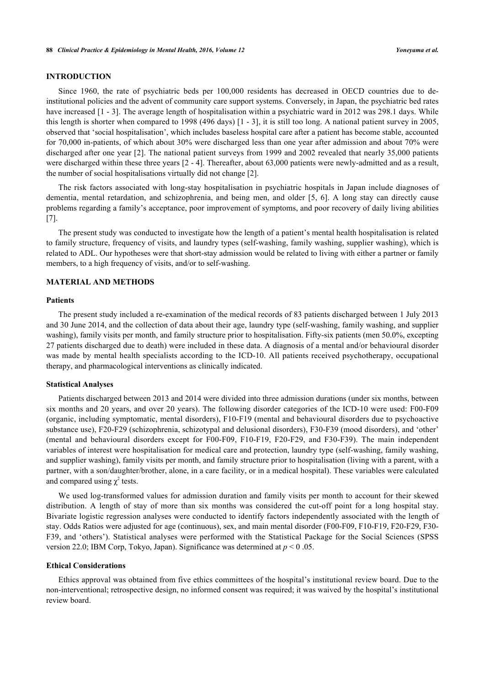# **INTRODUCTION**

Since 1960, the rate of psychiatric beds per 100,000 residents has decreased in OECD countries due to deinstitutional policies and the advent of community care support systems. Conversely, in Japan, the psychiatric bed rates have increased [\[1](#page-5-0) - [3](#page-5-1)]. The average length of hospitalisation within a psychiatric ward in 2012 was 298.1 days. While this length is shorter when compared to 1998 (496 days) [[1](#page-5-0) - [3](#page-5-1)], it is still too long. A national patient survey in 2005, observed that 'social hospitalisation', which includes baseless hospital care after a patient has become stable, accounted for 70,000 in-patients, of which about 30% were discharged less than one year after admission and about 70% were discharged after one year [[2](#page-5-2)]. The national patient surveys from 1999 and 2002 revealed that nearly 35,000 patients were discharged within these three years [[2](#page-5-2) - [4](#page-5-3)]. Thereafter, about 63,000 patients were newly-admitted and as a result, the number of social hospitalisations virtually did not change [[2\]](#page-5-2).

The risk factors associated with long-stay hospitalisation in psychiatric hospitals in Japan include diagnoses of dementia, mental retardation, and schizophrenia, and being men, and older[[5](#page-5-4), [6\]](#page-5-5). A long stay can directly cause problems regarding a family's acceptance, poor improvement of symptoms, and poor recovery of daily living abilities [\[7](#page-6-0)].

The present study was conducted to investigate how the length of a patient's mental health hospitalisation is related to family structure, frequency of visits, and laundry types (self-washing, family washing, supplier washing), which is related to ADL. Our hypotheses were that short-stay admission would be related to living with either a partner or family members, to a high frequency of visits, and/or to self-washing.

# **MATERIAL AND METHODS**

#### **Patients**

The present study included a re-examination of the medical records of 83 patients discharged between 1 July 2013 and 30 June 2014, and the collection of data about their age, laundry type (self-washing, family washing, and supplier washing), family visits per month, and family structure prior to hospitalisation. Fifty-six patients (men 50.0%, excepting 27 patients discharged due to death) were included in these data. A diagnosis of a mental and/or behavioural disorder was made by mental health specialists according to the ICD-10. All patients received psychotherapy, occupational therapy, and pharmacological interventions as clinically indicated.

#### **Statistical Analyses**

Patients discharged between 2013 and 2014 were divided into three admission durations (under six months, between six months and 20 years, and over 20 years). The following disorder categories of the ICD-10 were used: F00-F09 (organic, including symptomatic, mental disorders), F10-F19 (mental and behavioural disorders due to psychoactive substance use), F20-F29 (schizophrenia, schizotypal and delusional disorders), F30-F39 (mood disorders), and 'other' (mental and behavioural disorders except for F00-F09, F10-F19, F20-F29, and F30-F39). The main independent variables of interest were hospitalisation for medical care and protection, laundry type (self-washing, family washing, and supplier washing), family visits per month, and family structure prior to hospitalisation (living with a parent, with a partner, with a son/daughter/brother, alone, in a care facility, or in a medical hospital). These variables were calculated and compared using  $\chi^2$  tests.

We used log-transformed values for admission duration and family visits per month to account for their skewed distribution. A length of stay of more than six months was considered the cut-off point for a long hospital stay. Bivariate logistic regression analyses were conducted to identify factors independently associated with the length of stay. Odds Ratios were adjusted for age (continuous), sex, and main mental disorder (F00-F09, F10-F19, F20-F29, F30- F39, and 'others'). Statistical analyses were performed with the Statistical Package for the Social Sciences (SPSS version 22.0; IBM Corp, Tokyo, Japan). Significance was determined at *p* < 0 .05.

#### **Ethical Considerations**

Ethics approval was obtained from five ethics committees of the hospital's institutional review board. Due to the non-interventional; retrospective design, no informed consent was required; it was waived by the hospital's institutional review board.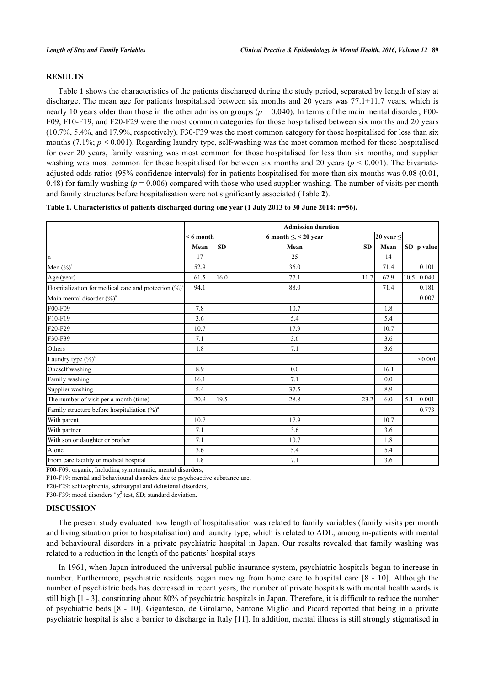# **RESULTS**

Table **[1](#page-2-0)** shows the characteristics of the patients discharged during the study period, separated by length of stay at discharge. The mean age for patients hospitalised between six months and 20 years was 77.1±11.7 years, which is nearly 10 years older than those in the other admission groups ( $p = 0.040$ ). In terms of the main mental disorder, F00-F09, F10-F19, and F20-F29 were the most common categories for those hospitalised between six months and 20 years (10.7%, 5.4%, and 17.9%, respectively). F30-F39 was the most common category for those hospitalised for less than six months (7.1%;  $p < 0.001$ ). Regarding laundry type, self-washing was the most common method for those hospitalised for over 20 years, family washing was most common for those hospitalised for less than six months, and supplier washing was most common for those hospitalised for between six months and 20 years ( $p < 0.001$ ). The bivariateadjusted odds ratios (95% confidence intervals) for in-patients hospitalised for more than six months was 0.08 (0.01, 0.48) for family washing ( $p = 0.006$ ) compared with those who used supplier washing. The number of visits per month and family structures before hospitalisation were not significantly associated (Table **[2](#page-3-0)**).

<span id="page-2-0"></span>**Table 1. Characteristics of patients discharged during one year (1 July 2013 to 30 June 2014: n=56).**

|                                                          | <b>Admission duration</b> |           |                            |          |                |      |               |  |
|----------------------------------------------------------|---------------------------|-----------|----------------------------|----------|----------------|------|---------------|--|
|                                                          | $< 6$ month               |           | 6 month $\leq$ , < 20 year |          | 20 year $\leq$ |      | $SD$  p value |  |
|                                                          | Mean                      | <b>SD</b> | Mean                       | $\bf SD$ | Mean           |      |               |  |
| n                                                        | 17                        |           | 25                         |          | 14             |      |               |  |
| Men $(\%)^a$                                             | 52.9                      |           | 36.0                       |          | 71.4           |      | 0.101         |  |
| Age (year)                                               | 61.5                      | 16.0      | 77.1                       | 11.7     | 62.9           | 10.5 | 0.040         |  |
| Hospitalization for medical care and protection $(\%)^a$ | 94.1                      |           | 88.0                       |          | 71.4           |      | 0.181         |  |
| Main mental disorder (%) <sup>a</sup>                    |                           |           |                            |          |                |      | 0.007         |  |
| F00-F09                                                  | 7.8                       |           | 10.7                       |          | 1.8            |      |               |  |
| F10-F19                                                  | 3.6                       |           | 5.4                        |          | 5.4            |      |               |  |
| F20-F29                                                  | 10.7                      |           | 17.9                       |          | 10.7           |      |               |  |
| F30-F39                                                  | 7.1                       |           | 3.6                        |          | 3.6            |      |               |  |
| Others                                                   | 1.8                       |           | 7.1                        |          | 3.6            |      |               |  |
| Laundry type $(\%)^a$                                    |                           |           |                            |          |                |      | < 0.001       |  |
| Oneself washing                                          | 8.9                       |           | 0.0                        |          | 16.1           |      |               |  |
| Family washing                                           | 16.1                      |           | 7.1                        |          | 0.0            |      |               |  |
| Supplier washing                                         | 5.4                       |           | 37.5                       |          | 8.9            |      |               |  |
| The number of visit per a month (time)                   | 20.9                      | 19.5      | 28.8                       | 23.2     | 6.0            | 5.1  | 0.001         |  |
| Family structure before hospitaliation (%) <sup>a</sup>  |                           |           |                            |          |                |      | 0.773         |  |
| With parent                                              | 10.7                      |           | 17.9                       |          | 10.7           |      |               |  |
| With partner                                             | 7.1                       |           | 3.6                        |          | 3.6            |      |               |  |
| With son or daughter or brother                          | 7.1                       |           | 10.7                       |          | 1.8            |      |               |  |
| Alone                                                    | 3.6                       |           | 5.4                        |          | 5.4            |      |               |  |
| From care facility or medical hospital                   | 1.8                       |           | 7.1                        |          | 3.6            |      |               |  |

F00-F09: organic, Including symptomatic, mental disorders,

F10-F19: mental and behavioural disorders due to psychoactive substance use,

F20-F29: schizophrenia, schizotypal and delusional disorders,

F30-F39: mood disorders  $\alpha$ <sup>2</sup> test, SD; standard deviation.

#### **DISCUSSION**

The present study evaluated how length of hospitalisation was related to family variables (family visits per month and living situation prior to hospitalisation) and laundry type, which is related to ADL, among in-patients with mental and behavioural disorders in a private psychiatric hospital in Japan. Our results revealed that family washing was related to a reduction in the length of the patients' hospital stays.

In 1961, when Japan introduced the universal public insurance system, psychiatric hospitals began to increase in number. Furthermore, psychiatric residents began moving from home care to hospital care [[8](#page-6-1) - [10\]](#page-6-2). Although the number of psychiatric beds has decreased in recent years, the number of private hospitals with mental health wards is still high [\[1](#page-5-0) - [3\]](#page-5-1), constituting about 80% of psychiatric hospitals in Japan. Therefore, it is difficult to reduce the number of psychiatric beds [\[8](#page-6-1) - [10\]](#page-6-2). Gigantesco, de Girolamo, Santone Miglio and Picard reported that being in a private psychiatric hospital is also a barrier to discharge in Italy [\[11](#page-6-3)]. In addition, mental illness is still strongly stigmatised in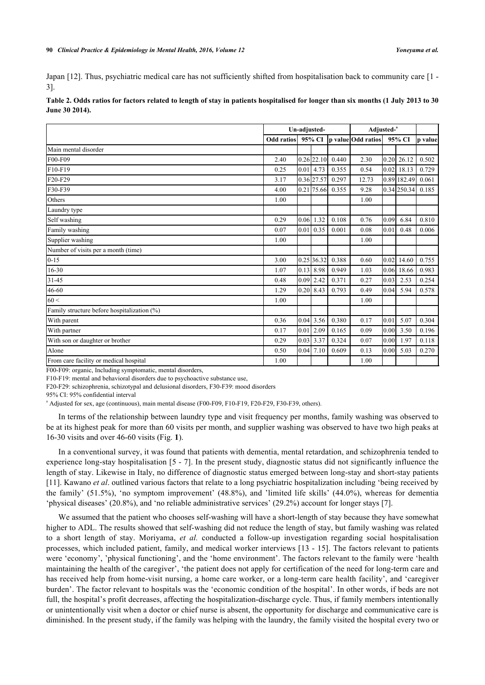Japan [[12\]](#page-6-4). Thus, psychiatric medical care has not sufficiently shifted from hospitalisation back to community care [[1](#page-5-0) - [3\]](#page-5-1).

| June 30 2014).       |              |  |  |                                           |                                                     |  |  |                                            |
|----------------------|--------------|--|--|-------------------------------------------|-----------------------------------------------------|--|--|--------------------------------------------|
|                      | Un-adjusted- |  |  | Adjusted- <sup>a</sup>                    |                                                     |  |  |                                            |
|                      |              |  |  |                                           | Odd ratios 95% CI p value Odd ratios 95% CI p value |  |  |                                            |
| Main mental disorder |              |  |  |                                           |                                                     |  |  |                                            |
| $F00-F09$            | 2.40         |  |  | $0.26$  22.10  0.440                      | 2.30                                                |  |  | $\vert 0.20 \vert 26.12 \vert 0.502 \vert$ |
| $F10-F19$            | 0.25         |  |  | $\vert 0.01 \vert 4.73 \vert 0.355 \vert$ | 0.54                                                |  |  | $0.02$ 18.13 $0.729$                       |

F20-F29  $3.17$   $0.36$   $27.57$   $0.297$   $12.73$   $0.89$   $182.49$   $0.061$ F30-F39 4.00 0.21 75.66 0.355 9.28 0.34 250.34 0.185

Others 1.00 1.00

<span id="page-3-0"></span>**Table 2. Odds ratios for factors related to length of stay in patients hospitalised for longer than six months (1 July 2013 to 30 June 30 2014).**

| Self washing                                | 0.29 |      | $0.06$ 1.32   | 0.108 | 0.76 | 0.09 | 6.84  | 0.810 |
|---------------------------------------------|------|------|---------------|-------|------|------|-------|-------|
| Family washing                              | 0.07 |      | $0.01$ 0.35   | 0.001 | 0.08 | 0.01 | 0.48  | 0.006 |
| Supplier washing                            | 1.00 |      |               |       | 1.00 |      |       |       |
| Number of visits per a month (time)         |      |      |               |       |      |      |       |       |
| $0 - 15$                                    | 3.00 |      | $0.25$ 36.32  | 0.388 | 0.60 | 0.02 | 14.60 | 0.755 |
| $16 - 30$                                   | 1.07 |      | $0.13$ 8.98   | 0.949 | 1.03 | 0.06 | 18.66 | 0.983 |
| $31 - 45$                                   | 0.48 | 0.09 | 2.42          | 0.371 | 0.27 | 0.03 | 2.53  | 0.254 |
| 46-60                                       | 1.29 |      | $0.20$ 8.43   | 0.793 | 0.49 | 0.04 | 5.94  | 0.578 |
| 60 <                                        | 1.00 |      |               |       | 1.00 |      |       |       |
| Family structure before hospitalization (%) |      |      |               |       |      |      |       |       |
| With parent                                 | 0.36 | 0.04 | 3.56          | 0.380 | 0.17 | 0.01 | 5.07  | 0.304 |
| With partner                                | 0.17 |      | $0.01$   2.09 | 0.165 | 0.09 | 0.00 | 3.50  | 0.196 |
| With son or daughter or brother             | 0.29 | 0.03 | 3.37          | 0.324 | 0.07 | 0.00 | 1.97  | 0.118 |
| Alone                                       | 0.50 |      | $0.04$ 7.10   | 0.609 | 0.13 | 0.00 | 5.03  | 0.270 |
| From care facility or medical hospital      | 1.00 |      |               |       | 1.00 |      |       |       |

F00-F09: organic, Including symptomatic, mental disorders,

F10-F19: mental and behavioral disorders due to psychoactive substance use,

F20-F29: schizophrenia, schizotypal and delusional disorders, F30-F39: mood disorders

95% CI: 95% confidential interval

Laundry type

a Adjusted for sex, age (continuous), main mental disease (F00-F09, F10-F19, F20-F29, F30-F39, others).

In terms of the relationship between laundry type and visit frequency per months, family washing was observed to be at its highest peak for more than 60 visits per month, and supplier washing was observed to have two high peaks at 16-30 visits and over 46-60 visits (Fig. **[1](#page-4-0)**).

In a conventional survey, it was found that patients with dementia, mental retardation, and schizophrenia tended to experience long-stay hospitalisation [\[5](#page-5-4) - [7\]](#page-6-0). In the present study, diagnostic status did not significantly influence the length of stay. Likewise in Italy, no difference of diagnostic status emerged between long-stay and short-stay patients [\[11](#page-6-3)]. Kawano *et al*. outlined various factors that relate to a long psychiatric hospitalization including 'being received by the family' (51.5%), 'no symptom improvement' (48.8%), and 'limited life skills' (44.0%), whereas for dementia 'physical diseases' (20.8%), and 'no reliable administrative services' (29.2%) account for longer stays [[7\]](#page-6-0).

We assumed that the patient who chooses self-washing will have a short-length of stay because they have somewhat higher to ADL. The results showed that self-washing did not reduce the length of stay, but family washing was related to a short length of stay. Moriyama, *et al.* conducted a follow-up investigation regarding social hospitalisation processes, which included patient, family, and medical worker interviews [[13](#page-6-5) - [15\]](#page-6-6). The factors relevant to patients were 'economy', 'physical functioning', and the 'home environment'. The factors relevant to the family were 'health maintaining the health of the caregiver', 'the patient does not apply for certification of the need for long-term care and has received help from home-visit nursing, a home care worker, or a long-term care health facility', and 'caregiver burden'. The factor relevant to hospitals was the 'economic condition of the hospital'. In other words, if beds are not full, the hospital's profit decreases, affecting the hospitalization-discharge cycle. Thus, if family members intentionally or unintentionally visit when a doctor or chief nurse is absent, the opportunity for discharge and communicative care is diminished. In the present study, if the family was helping with the laundry, the family visited the hospital every two or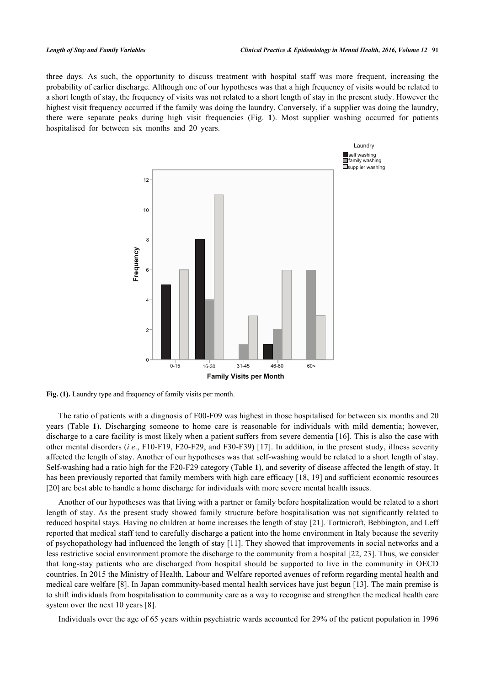<span id="page-4-0"></span>three days. As such, the opportunity to discuss treatment with hospital staff was more frequent, increasing the probability of earlier discharge. Although one of our hypotheses was that a high frequency of visits would be related to a short length of stay, the frequency of visits was not related to a short length of stay in the present study. However the highest visit frequency occurred if the family was doing the laundry. Conversely, if a supplier was doing the laundry, there were separate peaks during high visit frequencies (Fig.**1**). Most supplier washing occurred for patients hospitalised for between six months and 20 years.



**Fig. (1).** Laundry type and frequency of family visits per month.

The ratio of patients with a diagnosis of F00-F09 was highest in those hospitalised for between six months and 20 years (Table**1**). Discharging someone to home care is reasonable for individuals with mild dementia; however, discharge to a care facility is most likely when a patient suffers from severe dementia [[16](#page-6-7)]. This is also the case with other mental disorders (*i.e*., F10-F19, F20-F29, and F30-F39) [[17](#page-6-8)]. In addition, in the present study, illness severity affected the length of stay. Another of our hypotheses was that self-washing would be related to a short length of stay. Self-washing had a ratio high for the F20-F29 category (Table **[1](#page-2-0)**), and severity of disease affected the length of stay. It has been previously reported that family members with high care efficacy [[18,](#page-6-9) [19](#page-6-10)] and sufficient economic resources [\[20](#page-6-11)] are best able to handle a home discharge for individuals with more severe mental health issues.

Another of our hypotheses was that living with a partner or family before hospitalization would be related to a short length of stay. As the present study showed family structure before hospitalisation was not significantly related to reduced hospital stays. Having no children at home increases the length of stay [\[21\]](#page-6-12). Tortnicroft, Bebbington, and Leff reported that medical staff tend to carefully discharge a patient into the home environment in Italy because the severity of psychopathology had influenced the length of stay [\[11\]](#page-6-3). They showed that improvements in social networks and a less restrictive social environment promote the discharge to the community from a hospital [[22](#page-6-13), [23](#page-6-14)]. Thus, we consider that long-stay patients who are discharged from hospital should be supported to live in the community in OECD countries. In 2015 the Ministry of Health, Labour and Welfare reported avenues of reform regarding mental health and medical care welfare [[8\]](#page-6-1). In Japan community-based mental health services have just begun [[13\]](#page-6-5). The main premise is to shift individuals from hospitalisation to community care as a way to recognise and strengthen the medical health care system over the next 10 years [\[8](#page-6-1)].

Individuals over the age of 65 years within psychiatric wards accounted for 29% of the patient population in 1996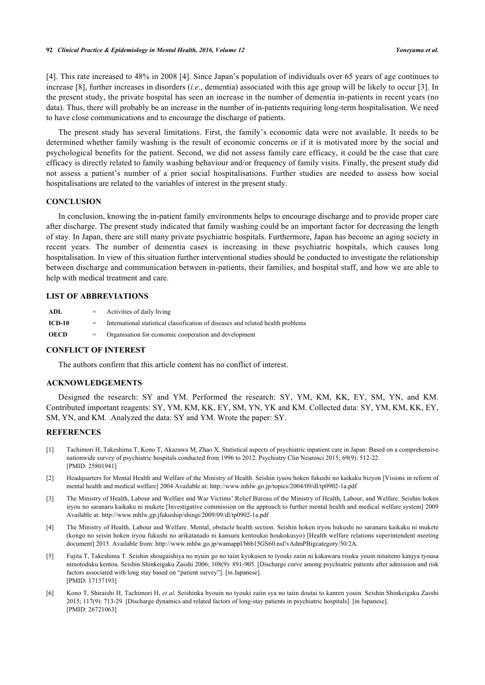[\[4](#page-5-3)]. This rate increased to 48% in 2008 [[4\]](#page-5-3). Since Japan's population of individuals over 65 years of age continues to increase [[8](#page-6-1)], further increases in disorders (*i.e*., dementia) associated with this age group will be likely to occur [\[3\]](#page-5-1). In the present study, the private hospital has seen an increase in the number of dementia in-patients in recent years (no data). Thus, there will probably be an increase in the number of in-patients requiring long-term hospitalisation. We need to have close communications and to encourage the discharge of patients.

The present study has several limitations. First, the family's economic data were not available. It needs to be determined whether family washing is the result of economic concerns or if it is motivated more by the social and psychological benefits for the patient. Second, we did not assess family care efficacy, it could be the case that care efficacy is directly related to family washing behaviour and/or frequency of family visits. Finally, the present study did not assess a patient's number of a prior social hospitalisations. Further studies are needed to assess how social hospitalisations are related to the variables of interest in the present study.

#### **CONCLUSION**

In conclusion, knowing the in-patient family environments helps to encourage discharge and to provide proper care after discharge. The present study indicated that family washing could be an important factor for decreasing the length of stay. In Japan, there are still many private psychiatric hospitals. Furthermore, Japan has become an aging society in recent years. The number of dementia cases is increasing in these psychiatric hospitals, which causes long hospitalisation. In view of this situation further interventional studies should be conducted to investigate the relationship between discharge and communication between in-patients, their families, and hospital staff, and how we are able to help with medical treatment and care.

#### **LIST OF ABBREVIATIONS**

| ADL           | $=$     | Activities of daily living                                                       |
|---------------|---------|----------------------------------------------------------------------------------|
| <b>ICD-10</b> | $=$     | International statistical classification of diseases and related health problems |
| <b>OECD</b>   | $=$ $-$ | Organisation for economic cooperation and development                            |

# **CONFLICT OF INTEREST**

The authors confirm that this article content has no conflict of interest.

#### **ACKNOWLEDGEMENTS**

Designed the research: SY and YM. Performed the research: SY, YM, KM, KK, EY, SM, YN, and KM. Contributed important reagents: SY, YM, KM, KK, EY, SM, YN, YK and KM. Collected data: SY, YM, KM, KK, EY, SM, YN, and KM. .Analyzed the data: SY and YM. Wrote the paper: SY.

### **REFERENCES**

- <span id="page-5-0"></span>[1] Tachimori H, Takeshima T, Kono T, Akazawa M, Zhao X. Statistical aspects of psychiatric inpatient care in Japan: Based on a comprehensive nationwide survey of psychiatric hospitals conducted from 1996 to 2012. Psychiatry Clin Neurosci 2015; 69(9): 512-22. [PMID: [25801941\]](http://www.ncbi.nlm.nih.gov/pubmed/25801941)
- <span id="page-5-2"></span>[2] Headquarters for Mental Health and Welfare of the Ministry of Health. Seishin iyuou hoken fukushi no kaikaku bizyon [Visions in reform of mental health and medical welfare] 2004 Available at: <http://www.mhlw.go.jp/topics/2004/09/dl/tp0902-1a.pdf>
- <span id="page-5-1"></span>[3] The Ministry of Health, Labour and Welfare and War Victims' Relief Bureau of the Ministry of Health, Labour, and Welfare. Seishin hoken iryou no saranaru kaikaku ni mukete [Investigative commission on the approach to further mental health and medical welfare system] 2009 Available at: <http://www.mhlw.gp.jfukuship/shingi/2009/09/dl/tp0902-1a.pdf>
- <span id="page-5-3"></span>[4] The Ministry of Health, Labour and Welfare. Mental, obstacle health section. Seishin hoken iryou hukushi no saranaru kaikaku ni mukete (kongo no seisin hoken iryou fukushi no arikatanado ni kansuru kentoukai houkokusyo) [Health welfare relations superintendent meeting document] 2015. Available from: [http://www.mhlw.go.jp/wamappl/bbb15GS60.nsf/vAdmPBigcategory/50/2A.](http://www.mhlw.go.jp/wamappl/bbb15GS60.nsf/vAdmPBigcategory/50/2A)
- <span id="page-5-4"></span>[5] Fujita T, Takeshima T. Seishin shougaishiya no nyuin go no taiin kyokusen to tyouki zaiin ni kakawaru risuku youin nituiteno kanjya tyousa nimotoduku kentou. Seishin Shinkeigaku Zasshi 2006; 108(9): 891-905. [Discharge curve among psychiatric patients after admission and risk factors associated with long stay based on "patient survey"]. [in Japanese]. [PMID: [17137193\]](http://www.ncbi.nlm.nih.gov/pubmed/17137193)
- <span id="page-5-5"></span>[6] Kono T, Shiraishi H, Tachimori H, *et al.* Seishinka byouin no tyouki zaiin sya no taiin doutai to kanren youin. Seishin Shinkeigaku Zasshi 2015; 117(9): 713-29. [Discharge dynamics and related factors of long-stay patients in psychiatric hospitals]. [in Japanese]. [PMID: [26721063\]](http://www.ncbi.nlm.nih.gov/pubmed/26721063)